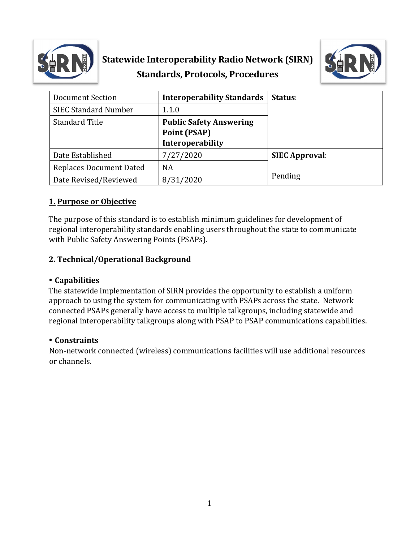

# **Statewide Interoperability Radio Network (SIRN) Standards, Protocols, Procedures**



| <b>Document Section</b>        | <b>Interoperability Standards</b>                     | Status:               |
|--------------------------------|-------------------------------------------------------|-----------------------|
| <b>SIEC Standard Number</b>    | 1.1.0                                                 |                       |
| <b>Standard Title</b>          | <b>Public Safety Answering</b><br><b>Point (PSAP)</b> |                       |
|                                | Interoperability                                      |                       |
| Date Established               | 7/27/2020                                             | <b>SIEC Approval:</b> |
| <b>Replaces Document Dated</b> | <b>NA</b>                                             |                       |
| Date Revised/Reviewed          | 8/31/2020                                             | Pending               |

#### **1. Purpose or Objective**

The purpose of this standard is to establish minimum guidelines for development of regional interoperability standards enabling users throughout the state to communicate with Public Safety Answering Points (PSAPs).

#### **2. Technical/Operational Background**

#### **Capabilities**

The statewide implementation of SIRN provides the opportunity to establish a uniform approach to using the system for communicating with PSAPs across the state. Network connected PSAPs generally have access to multiple talkgroups, including statewide and regional interoperability talkgroups along with PSAP to PSAP communications capabilities.

#### **Constraints**

Non-network connected (wireless) communications facilities will use additional resources or channels.